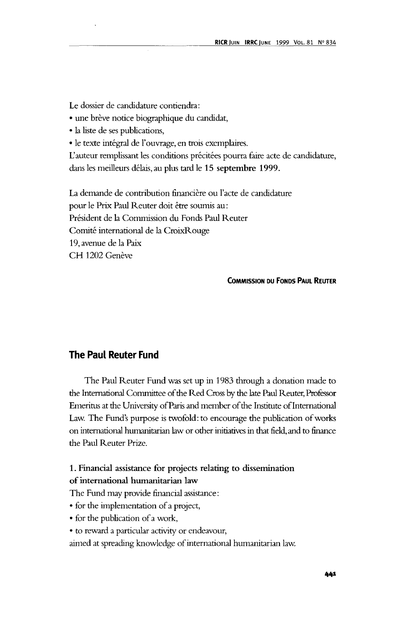Le dossier de candidature contiendra:

- une brève notice biographique du candidat,
- la liste de ses publications,
- le texte integral de l'ouvrage, en trois exemplaires.

L'auteur remplissant les conditions précitées pourra faire acte de candidature, dans les meilleurs delais, au plus tard le **15 septembre 1999.**

La demande de contribution financière ou l'acte de candidature pour le Prix Paul Reuter doit être soumis au: President de la Commission du Fonds Paul Reuter Comite international de la CroixRouge 19, avenue de la Paix CH 1202 Genève

#### **COMMISSION DU FONDS PAUL REUTER**

## **The Paul Reuter Fund**

The Paul Reuter Fund was set up in 1983 through a donation made to the International Committee of the Red Cross by the late Paul Reuter, Professor Emeritus at the University of Paris and member of the Institute of International Law. The Fund's purpose is twofold: to encourage the publication of works on international humanitarian law or other initiatives in that field, and to finance the Paul Reuter Prize.

# **1**. **Financial assistance for projects relating to dissemination of international humanitarian law**

The Fund may provide financial assistance:

- for the implementation of a project,
- for the publication of a work,
- to reward a particular activity or endeavour,

aimed at spreading knowledge of international humanitarian law.